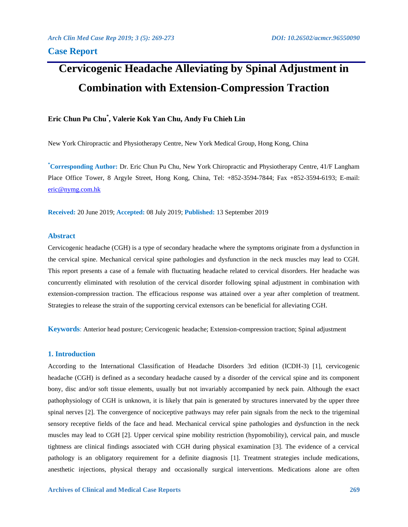# **Cervicogenic Headache Alleviating by Spinal Adjustment in Combination with Extension-Compression Traction**

## **Eric Chun Pu Chu\* , Valerie Kok Yan Chu, Andy Fu Chieh Lin**

New York Chiropractic and Physiotherapy Centre, New York Medical Group, Hong Kong, China

**\*Corresponding Author:** Dr. Eric Chun Pu Chu, New York Chiropractic and Physiotherapy Centre, 41/F Langham Place Office Tower, 8 Argyle Street, Hong Kong, China, Tel: +852-3594-7844; Fax +852-3594-6193; E-mail: [eric@nymg.com.hk](mailto:eric@nymg.com.hk)

**Received:** 20 June 2019; **Accepted:** 08 July 2019; **Published:** 13 September 2019

### **Abstract**

Cervicogenic headache (CGH) is a type of secondary headache where the symptoms originate from a dysfunction in the cervical spine. Mechanical cervical spine pathologies and dysfunction in the neck muscles may lead to CGH. This report presents a case of a female with fluctuating headache related to cervical disorders. Her headache was concurrently eliminated with resolution of the cervical disorder following spinal adjustment in combination with extension-compression traction. The efficacious response was attained over a year after completion of treatment. Strategies to release the strain of the supporting cervical extensors can be beneficial for alleviating CGH.

**Keywords**: Anterior head posture; Cervicogenic headache; Extension-compression traction; Spinal adjustment

### **1. Introduction**

According to the International Classification of Headache Disorders 3rd edition (ICDH-3) [1], cervicogenic headache (CGH) is defined as a secondary headache caused by a disorder of the cervical spine and its component bony, disc and/or soft tissue elements, usually but not invariably accompanied by neck pain. Although the exact pathophysiology of CGH is unknown, it is likely that pain is generated by structures innervated by the upper three spinal nerves [2]. The convergence of nociceptive pathways may refer pain signals from the neck to the trigeminal sensory receptive fields of the face and head. Mechanical cervical spine pathologies and dysfunction in the neck muscles may lead to CGH [2]. Upper cervical spine mobility restriction (hypomobility), cervical pain, and muscle tightness are clinical findings associated with CGH during physical examination [3]. The evidence of a cervical pathology is an obligatory requirement for a definite diagnosis [1]. Treatment strategies include medications, anesthetic injections, physical therapy and occasionally surgical interventions. Medications alone are often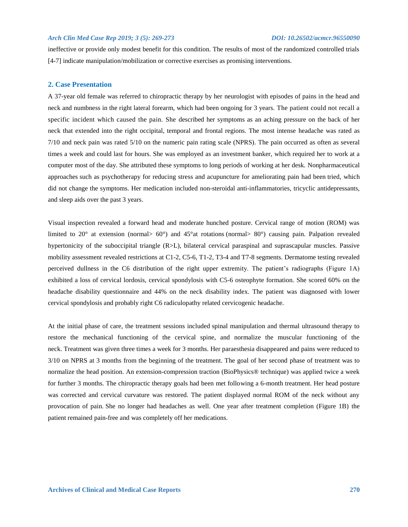#### *Arch Clin Med Case Rep 2019; 3 (5): 269-273 DOI: 10.26502/acmcr.96550090*

ineffective or provide only modest benefit for this condition. The results of most of the randomized controlled trials [4-7] indicate manipulation/mobilization or corrective exercises as promising interventions.

#### **2. Case Presentation**

A 37-year old female was referred to chiropractic therapy by her neurologist with episodes of pains in the head and neck and numbness in the right lateral forearm, which had been ongoing for 3 years. The patient could not recall a specific incident which caused the pain. She described her symptoms as an aching pressure on the back of her neck that extended into the right occipital, temporal and frontal regions. The most intense headache was rated as 7/10 and neck pain was rated 5/10 on the numeric pain rating scale (NPRS). The pain occurred as often as several times a week and could last for hours. She was employed as an investment banker, which required her to work at a computer most of the day. She attributed these symptoms to long periods of working at her desk. Nonpharmaceutical approaches such as psychotherapy for reducing stress and acupuncture for ameliorating pain had been tried, which did not change the symptoms. Her medication included non-steroidal anti-inflammatories, tricyclic antidepressants, and sleep aids over the past 3 years.

Visual inspection revealed a forward head and moderate hunched posture. Cervical range of motion (ROM) was limited to 20° at extension (normal> 60°) and 45°at rotations (normal> 80°) causing pain. Palpation revealed hypertonicity of the suboccipital triangle (R>L), bilateral cervical paraspinal and suprascapular muscles. Passive mobility assessment revealed restrictions at C1-2, C5-6, T1-2, T3-4 and T7-8 segments. Dermatome testing revealed perceived dullness in the C6 distribution of the right upper extremity. The patient's radiographs (Figure 1A) exhibited a loss of cervical lordosis, cervical spondylosis with C5-6 osteophyte formation. She scored 60% on the headache disability questionnaire and 44% on the neck disability index. The patient was diagnosed with lower cervical spondylosis and probably right C6 radiculopathy related cervicogenic headache.

At the initial phase of care, the treatment sessions included spinal manipulation and thermal ultrasound therapy to restore the mechanical functioning of the cervical spine, and normalize the muscular functioning of the neck. Treatment was given three times a week for 3 months. Her paraesthesia disappeared and pains were reduced to 3/10 on NPRS at 3 months from the beginning of the treatment. The goal of her second phase of treatment was to normalize the head position. An extension-compression traction (BioPhysics® technique) was applied twice a week for further 3 months. The chiropractic therapy goals had been met following a 6-month treatment. Her head posture was corrected and cervical curvature was restored. The patient displayed normal ROM of the neck without any provocation of pain. She no longer had headaches as well. One year after treatment completion (Figure 1B) the patient remained pain-free and was completely off her medications.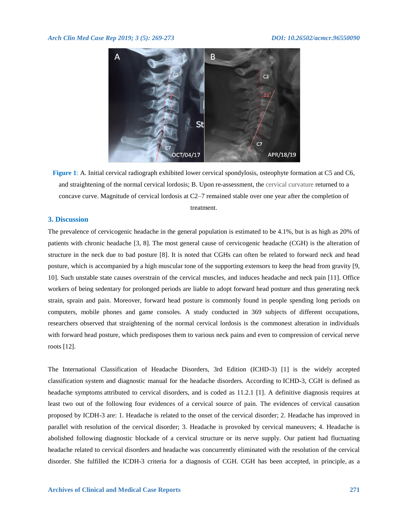

**Figure 1**: A. Initial cervical radiograph exhibited lower cervical spondylosis, osteophyte formation at C5 and C6, and straightening of the normal cervical lordosis; B. Upon re-assessment, the cervical curvature returned to a concave curve. Magnitude of cervical lordosis at C2–7 remained stable over one year after the completion of treatment.

### **3. Discussion**

The prevalence of cervicogenic headache in the general population is estimated to be 4.1%, but is as high as 20% of patients with chronic headache [3, 8]. The most general cause of cervicogenic headache (CGH) is the alteration of structure in the neck due to bad posture [8]. It is noted that CGHs can often be related to forward neck and head posture, which is accompanied by a high muscular tone of the supporting extensors to keep the head from gravity [9, 10]. Such unstable state causes overstrain of the cervical muscles, and induces headache and neck pain [11]. Office workers of being sedentary for prolonged periods are liable to adopt forward head posture and thus generating neck strain, sprain and pain. Moreover, forward head posture is commonly found in people spending long periods on computers, mobile phones and game consoles. A study conducted in 369 subjects of different occupations, researchers observed that straightening of the normal cervical lordosis is the commonest alteration in individuals with forward head posture, which predisposes them to various neck pains and even to compression of cervical nerve roots [12].

The International Classification of Headache Disorders, 3rd Edition (ICHD-3) [1] is the widely accepted classification system and diagnostic manual for the headache disorders. According to ICHD-3, CGH is defined as headache symptoms attributed to cervical disorders, and is coded as 11.2.1 [1]. A definitive diagnosis requires at least two out of the following four evidences of a cervical source of pain. The evidences of cervical causation proposed by ICDH-3 are: 1. Headache is related to the onset of the cervical disorder; 2. Headache has improved in parallel with resolution of the cervical disorder; 3. Headache is provoked by cervical maneuvers; 4. Headache is abolished following diagnostic blockade of a cervical structure or its nerve supply. Our patient had fluctuating headache related to cervical disorders and headache was concurrently eliminated with the resolution of the cervical disorder. She fulfilled the ICDH-3 criteria for a diagnosis of CGH. CGH has been accepted, in principle, as a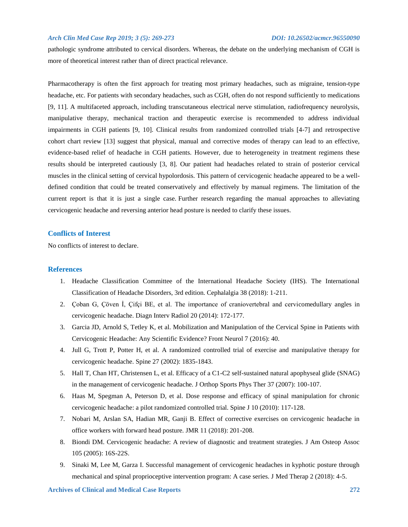#### *Arch Clin Med Case Rep 2019; 3 (5): 269-273 DOI: 10.26502/acmcr.96550090*

pathologic syndrome attributed to cervical disorders. Whereas, the debate on the underlying mechanism of CGH is more of theoretical interest rather than of direct practical relevance.

Pharmacotherapy is often the first approach for treating most primary headaches, such as migraine, tension-type headache, etc. For patients with secondary headaches, such as CGH, often do not respond sufficiently to medications [9, 11]. A multifaceted approach, including transcutaneous electrical nerve stimulation, radiofrequency neurolysis, manipulative therapy, mechanical traction and therapeutic exercise is recommended to address individual impairments in CGH patients [9, 10]. Clinical results from randomized controlled trials [4-7] and retrospective cohort chart review [13] suggest that physical, manual and corrective modes of therapy can lead to an effective, evidence-based relief of headache in CGH patients. However, due to heterogeneity in treatment regimens these results should be interpreted cautiously [3, 8]. Our patient had headaches related to strain of posterior cervical muscles in the clinical setting of cervical hypolordosis. This pattern of cervicogenic headache appeared to be a welldefined condition that could be treated conservatively and effectively by manual regimens. The limitation of the current report is that it is just a single case. Further research regarding the manual approaches to alleviating cervicogenic headache and reversing anterior head posture is needed to clarify these issues.

#### **Conflicts of Interest**

No conflicts of interest to declare.

#### **References**

- 1. Headache Classification Committee of the International Headache Society (IHS). The International Classification of Headache Disorders, 3rd edition. Cephalalgia 38 (2018): 1-211.
- 2. Çoban G, Çöven İ, Çifçi BE, et al. The importance of craniovertebral and cervicomedullary angles in cervicogenic headache. Diagn Interv Radiol 20 (2014): 172-177.
- 3. Garcia JD, Arnold S, Tetley K, et al. Mobilization and Manipulation of the Cervical Spine in Patients with Cervicogenic Headache: Any Scientific Evidence? Front Neurol 7 (2016): 40.
- 4. Jull G, Trott P, Potter H, et al. A randomized controlled trial of exercise and manipulative therapy for cervicogenic headache. Spine 27 (2002): 1835-1843.
- 5. Hall T, Chan HT, Christensen L, et al. Efficacy of a C1-C2 self-sustained natural apophyseal glide (SNAG) in the management of cervicogenic headache. J Orthop Sports Phys Ther 37 (2007): 100-107.
- 6. Haas M, Spegman A, Peterson D, et al. Dose response and efficacy of spinal manipulation for chronic cervicogenic headache: a pilot randomized controlled trial. Spine J 10 (2010): 117-128.
- 7. Nobari M, Arslan SA, Hadian MR, Ganji B. Effect of corrective exercises on cervicogenic headache in office workers with forward head posture. JMR 11 (2018): 201-208.
- 8. Biondi DM. Cervicogenic headache: A review of diagnostic and treatment strategies. J Am Osteop Assoc 105 (2005): 16S-22S.
- 9. Sinaki M, Lee M, Garza I. Successful management of cervicogenic headaches in kyphotic posture through mechanical and spinal proprioceptive intervention program: A case series. J Med Therap 2 (2018): 4-5.